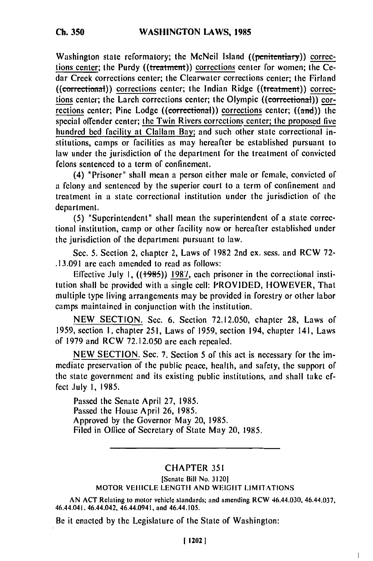Washington state reformatory; the McNeil Island ((penitentiary)) corrections center; the Purdy ((treatment)) corrections center for women; the Cedar Creek corrections center; the Clearwater corrections center; the Firland  $((\text{correctional}))$  corrections center; the Indian Ridge  $((\text{treatment}))$  corrections center; the Larch corrections center; the Olympic ((correctional)) corrections center; Pine Lodge (( $\epsilon$ orrectional)) corrections center; ( $(\text{and})$ ) the special offender center; the Twin Rivers corrcctions center; the proposed five hundred bed facility at Clallam Bay; and such other state correctional institutions, camps or facilities as may hereafter be established pursuant to law under the jurisdiction of the department for the treatment of convicted felons sentenced to a term of confinement.

(4) "Prisoner" shall mean a person either male or female, convicted of a felony and sentenced by the superior court to a term of confinement and treatment in a state correctional institution under the jurisdiction of the department.

(5) "Superintendent" shall mean the superintendent of a state correctional institution, camp or other facility now or hereafter established under the jurisdiction of the department pursuant to law.

Sec. 5. Section 2, chapter 2, Laws of 1982 2nd ex. sess. and RCW 72- .13.091 are each amended to read as follows:

Effective July I, ((+985)) 198'/, each prisoner in the correctional institution shall be provided with a single cell: PROVIDED, HOWEVER, That multiple type living arrangements may be provided in forestry or other labor camps maintained in conjunction with the institution.

NEW SECTION. Sec. 6. Section 72.12.050, chapter 28, Laws of 1959, section I, chapter 251, Laws of 1959, section 194, chapter 141, Laws of 1979 and RCW 72.12.050 are each repealed.

NEW SECTION. Sec. 7. Section 5 of this act is necessary for the immediate preservation of the public peace, health, and safety, the support of the state government and its existing public institutions, and shall take effect July **1,** 1985.

Passed the Senate April 27, 1985. Passed the House April **26,** 1985. Approved by the Governor May 20, 1985. Filed in Office of Secretary of State May 20, 1985.

## CHAPTER 351

## [Senate Bill No. 31201 MOTOR VEHICLE LENGTH AND WEIGHT LIMITATIONS

AN **ACT** Relating to motor vehicle standards; and amending RCW 46.44.030, 46.44.037, 46.44.041. 46.44.042, 46.44,0941, and 46.44.105.

Be it enacted by the Legislature of the State of Washington: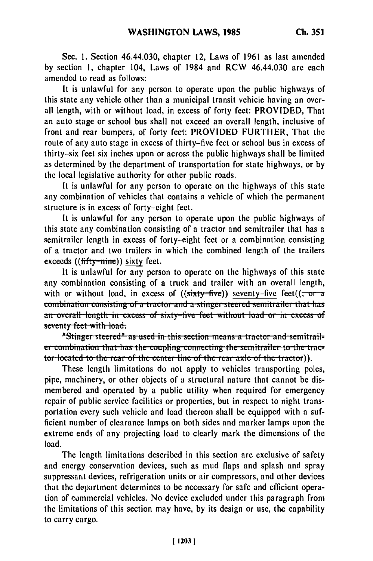Sec. 1. Section 46.44.030, chapter 12, Laws of 1961 as last amended by section 1, chapter 104, Laws of 1984 and RCW 46.44.030 are each amended to read as follows:

It is unlawful for any person to operate upon the public highways of this state any vehicle other than a municipal transit vehicle having an overall length, with or without load, in excess of forty feet: PROVIDED, That an auto stage or school bus shall not exceed an overall length, inclusive of front and rear bumpers, of forty feet: PROVIDED FURTHER, That the route of any auto stage in excess of thirty-five feet or school bus in excess of thirty-six feet six inches upon or across the public highways shall be limited as determined by the department of transportation for state highways, or by the local legislative authority for other public roads.

It is unlawful for any person to operate on the highways of this state any combination of vehicles that contains a vehicle of which the permanent structure is in excess of forty-eight feet.

It is unlawful for any person to operate upon the public highways of this state any combination consisting of a tractor and semitrailer that has a semitrailer length in excess of forty-eight feet or a combination consisting of a tractor and two trailers in which the combined length of the trailers exceeds  $((\text{ffty}=$ nine)) sixty feet.

It is unlawful for any person to operate on the highways of this state any combination consisting of a truck and trailer with an overall length, with or without load, in excess of  $((sixty=fwe))$  seventy-five feet $((\frac{\pi}{6})^{n}$ combination consisting of a tractor and a stinger steered semitrailer that has an overall length in excess of sixty-five feet without load or in excess of seventy feet with load.

"Stinger steered" as used in this section means a tractor and semitrailer combination that has the coupling connecting the semitrailer to the tractor located to the rear of the center line of the rear axle of the tractor)).

These length limitations do not apply to vehicles transporting poles, pipe, machinery, or other objects of a structural nature that cannot be dismembered and operated by a public utility when required for emergency repair of public service facilities or properties, but in respect to night transportation every such vehicle and load thereon shall be equipped with a sufficient number of clearance lamps on both sides and marker lamps upon the extreme ends of any projecting load to clearly mark the dimensions of the load.

The length limitations described in this section are exclusive of safety and energy conservation devices, such as mud flaps and splash and spray suppressant devices, refrigeration units or air compressors, and other devices that the department determines to be necessary for safe and efficient operation of commercial vehicles. No device excluded under this paragraph from the limitations of this section may have, by its design or use, the capability to carry cargo.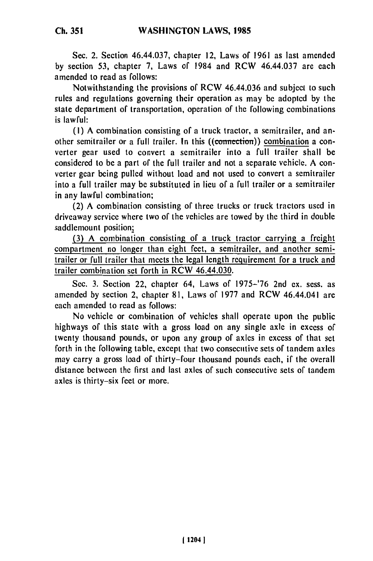Sec. 2. Section 46.44.037, chapter 12, Laws of 1961 as last amended by section 53, chapter 7, Laws of 1984 and RCW 46.44.037 are each amended to read as follows:

Notwithstanding the provisions of RCW 46.44.036 and subject to such rules and regulations governing their operation as may be adopted by the state department of transportation, operation of the following combinations is lawful:

(I) A combination consisting of a truck tractor, a semitrailer, and another semitrailer or a full trailer. In this ((connection)) combination a converter gear used to convert a semitrailer into a full trailer shall be considered to be a part of the full trailer and not a separate vehicle. A converter gear being pulled without load and not used to convert a semitrailer into a full trailer may be substituted in lieu of a full trailer or a semitrailer in any lawful combination;

(2) A combination consisting of three trucks or truck tractors used in driveaway service where two of the vehicles are towed by the third in double saddlemount position;

(3) A combination consisting of a truck tractor carrying a freight compartment no longer than eight feet, a semitrailer, and another semitrailer or full trailer that meets the legal length requirement for a truck and trailer combination set forth in RCW 46.44.030.

Sec. 3. Section 22, chapter 64, Laws of 1975-'76 2nd ex. sess. as amended by section 2, chapter 81, Laws of 1977 and RCW 46.44.041 are each amended to read as follows:

No vehicle or combination of vehicles shall operate upon the public highways of this state with a gross load on any single axle in excess of twenty thousand pounds, or upon any group of axles in excess of that set forth in the following table, except that two consecutive sets of tandem axles may carry a gross load of thirty-four thousand pounds each, if the overall distance between the first and last axles of such consecutive sets of tandem axles is thirty-six feet or more.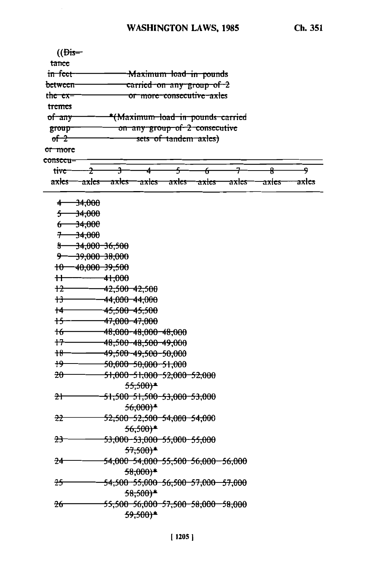| $(\overline{\text{Dis}})$ |                   |                          |                                        |       |                                               |                  |       |       |
|---------------------------|-------------------|--------------------------|----------------------------------------|-------|-----------------------------------------------|------------------|-------|-------|
| tance                     |                   |                          |                                        |       |                                               |                  |       |       |
| in feet                   |                   |                          |                                        |       | Maximum load in pounds                        |                  |       |       |
| <del>between</del>        |                   |                          |                                        |       | <del>carried on any group of 2</del>          |                  |       |       |
| the ex-                   |                   |                          |                                        |       | or more consecutive axles                     |                  |       |       |
| tremes                    |                   |                          |                                        |       |                                               |                  |       |       |
| of any                    |                   |                          |                                        |       | <del>*(Maximum load in pounds carried</del>   |                  |       |       |
| group                     |                   |                          |                                        |       | on any group of 2 consecutive                 |                  |       |       |
| $of-2$                    |                   |                          |                                        |       | sets of tandem axles)                         |                  |       |       |
| <del>or more</del>        |                   |                          |                                        |       |                                               |                  |       |       |
| consecu-                  |                   |                          |                                        |       |                                               |                  |       |       |
| tiv <del>e -</del>        | z                 | ᢋ                        |                                        | 5     | f                                             |                  | ₽     | ۹     |
| a <del>xles</del> —       | axles             | <del>axles</del>         | axles                                  | axles | <del>axles</del>                              | <del>axles</del> | axles | axies |
| 4                         | <del>34,000</del> |                          |                                        |       |                                               |                  |       |       |
| s                         | $-34,000$         |                          |                                        |       |                                               |                  |       |       |
| ᠋ᡠ                        | $-34,000$         |                          |                                        |       |                                               |                  |       |       |
| $^{\rm \tau}$             | $-34,000$         |                          |                                        |       |                                               |                  |       |       |
| ୫−                        |                   | <del>34,000 36,500</del> |                                        |       |                                               |                  |       |       |
| 马                         |                   | <del>39,000 38,000</del> |                                        |       |                                               |                  |       |       |
|                           |                   | $10 - 40,000 - 39,500$   |                                        |       |                                               |                  |       |       |
| $^{\rm +}$                |                   | 41,000                   |                                        |       |                                               |                  |       |       |
| $+2-$                     |                   | 42,500 42,500            |                                        |       |                                               |                  |       |       |
| $+3-$                     |                   | 44,000 44,000            |                                        |       |                                               |                  |       |       |
| $+$                       |                   | 45,500 45,500            |                                        |       |                                               |                  |       |       |
| <del>15 —</del>           |                   | 47,000 47,000            |                                        |       |                                               |                  |       |       |
| $16-$                     |                   |                          | 48,000-48,000-48,000                   |       |                                               |                  |       |       |
| $+7$                      |                   |                          | 48,500-48,500-49,000                   |       |                                               |                  |       |       |
| $+8-$                     |                   |                          | <del>49,500 49,500 50,000</del>        |       |                                               |                  |       |       |
| <del>19</del>             |                   |                          | <del>50,000 50,000 51,000</del>        |       |                                               |                  |       |       |
| $20 -$                    |                   |                          | 51,000 51,000 52,000 52,000            |       |                                               |                  |       |       |
|                           |                   |                          | $55,500*$                              |       |                                               |                  |       |       |
| $2+$                      |                   |                          | <del>51,500 51,500 53,000 53,000</del> |       |                                               |                  |       |       |
|                           |                   |                          | $56,000*$                              |       |                                               |                  |       |       |
| <del>22</del>             |                   |                          | 52,500-52,500-54,000-54,000            |       |                                               |                  |       |       |
|                           |                   |                          | $56,500*$                              |       |                                               |                  |       |       |
| <del>23</del>             |                   |                          | <del>53,000-53,000-55,000-55,000</del> |       |                                               |                  |       |       |
|                           |                   |                          | <del>57,500)*</del>                    |       |                                               |                  |       |       |
| 24                        |                   |                          |                                        |       | <del>54,000 54,000 55,500 56,000 56,000</del> |                  |       |       |
|                           |                   |                          | $58,000*$                              |       |                                               |                  |       |       |
| <del>25</del>             |                   |                          |                                        |       | 54,500 55,000 56,500 57,000 57,000            |                  |       |       |
|                           |                   |                          | $58,500*$                              |       |                                               |                  |       |       |
| 26                        |                   |                          |                                        |       | <del>55,500 56,000 57,500 58,000 58,000</del> |                  |       |       |
|                           |                   |                          | $59,500*$                              |       |                                               |                  |       |       |
|                           |                   |                          |                                        |       |                                               |                  |       |       |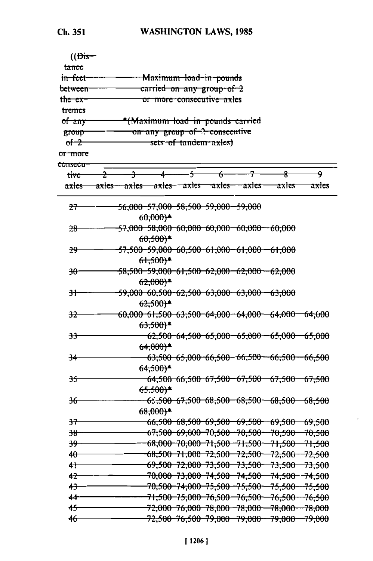| $(\overline{\text{Dis}})$ |    |   |                       |                |                                               |                                                       |                                                       |       |
|---------------------------|----|---|-----------------------|----------------|-----------------------------------------------|-------------------------------------------------------|-------------------------------------------------------|-------|
| t <del>ance</del>         |    |   |                       |                |                                               |                                                       |                                                       |       |
| in feet                   |    |   |                       |                | Maximum load in pounds                        |                                                       |                                                       |       |
| <del>between</del>        |    |   |                       |                | carried on any group of 2                     |                                                       |                                                       |       |
| the ex-                   |    |   |                       |                | <del>or more consecutive axles</del>          |                                                       |                                                       |       |
| tremes                    |    |   |                       |                |                                               |                                                       |                                                       |       |
| of any                    |    |   |                       |                | *(Maximum load in pounds carried              |                                                       |                                                       |       |
| <del>group</del>          |    |   |                       |                | on any group of 2 consecutive                 |                                                       |                                                       |       |
| $of-2$                    |    |   |                       |                | sets of tandem axles)                         |                                                       |                                                       |       |
| <del>or more</del>        |    |   |                       |                |                                               |                                                       |                                                       |       |
| <del>consecu-</del>       |    |   |                       |                |                                               |                                                       |                                                       |       |
| tiv <del>e</del>          | ÷. | ᠲ | 4                     | $\overline{f}$ | $\overline{f}$                                | 7                                                     | $\overline{R}$                                        | ۰     |
| $\frac{5}{100}$           |    |   |                       |                |                                               | axles axles axles axles axles axles                   | <del>axles</del>                                      | axies |
| <del>27</del>             |    |   | $60,000$ <sup>*</sup> |                | <del>56,000 57,000 58,500 59,000 59,000</del> |                                                       |                                                       |       |
| 28                        |    |   | $60,500*$             |                |                                               | 57,000-58,000-60,000-60,000-60,000-60,000             |                                                       |       |
| <del>29.</del>            |    |   | $61,500*$             |                |                                               | 57,500-59,000-60,500-61,000-61,000-61,000             |                                                       |       |
| $\overline{\mathcal{H}}$  |    |   | $62,000*$             |                |                                               | <del>58,500-59,000-61,500-62,000-62,000--62,000</del> |                                                       |       |
| 3Ŧ                        |    |   | $62,500*$             |                |                                               | 59,000-60,500-62,500-63,000-63,000-63,000             |                                                       |       |
| <del>32.</del>            |    |   | $63,500*$             |                |                                               |                                                       | $60,000$ 61,500 63,500 64,000 64,000 64,000 64,000    |       |
| <del>33</del>             |    |   | $64,000$ <sup>*</sup> |                |                                               |                                                       | $62,500$ $64,500$ $65,000$ $65,000$ $65,000$ $65,000$ |       |
| 34                        |    |   | $64,500*$             |                |                                               |                                                       | 63,500 65,000 66,500 66,500 66,500 66,500             |       |
| <del>35.</del>            |    |   | 65,500)*              |                |                                               |                                                       | 64,500 66,500 67,500 67,500 67,500 67,500             |       |
| 36                        |    |   | $68,000*$             |                |                                               |                                                       | 65 <del>,500 67,500 68,500 68,500 68,500 68,500</del> |       |
| <del>37</del>             |    |   |                       |                |                                               |                                                       | <del>66,500 68,500 69,500 69,500 69,500 69,500</del>  |       |
| <del>38</del>             |    |   |                       |                |                                               |                                                       | 67,500 69,000 70,500 70,500 70,500 70,500             |       |
| <del>39</del>             |    |   |                       |                |                                               |                                                       | $-68,000$ 70,000 71,500 71,500 71,500 71,500          |       |
| $40-$                     |    |   |                       |                |                                               |                                                       | 68,500 71,000 72,500 72,500 72,500 72,500             |       |
| $+$                       |    |   |                       |                |                                               |                                                       | 69,500 72,000 73,500 73,500 73,500 73,500             |       |
| $42 -$                    |    |   |                       |                |                                               |                                                       | 70,000 73,000 74,500 74,500 74,500 74,500             |       |
| $+3-$                     |    |   |                       |                |                                               |                                                       | 70,500-74,000-75,500-75,500-75,500-75,500             |       |
| $44 -$                    |    |   |                       |                |                                               |                                                       | 71,500-75,000-76,500-76,500-76,500-76,500             |       |
| $45 -$                    |    |   |                       |                |                                               |                                                       | 72,000 76,000 78,000 78,000 78,000 78,000             |       |
| $46 -$                    |    |   |                       |                |                                               |                                                       | 72,500-76,500-79,000-79,000-79,000-79,000             |       |
|                           |    |   |                       |                |                                               |                                                       |                                                       |       |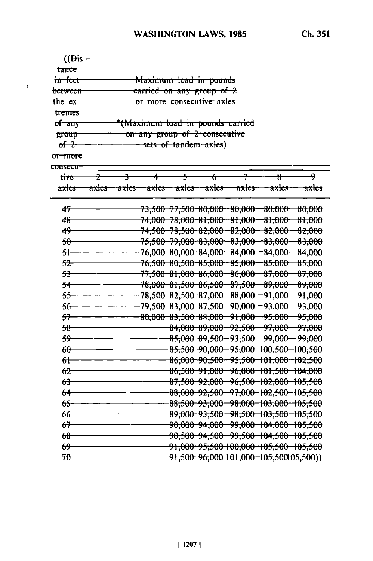| $(\theta$ is=       |                                                                         |  |
|---------------------|-------------------------------------------------------------------------|--|
| tance               |                                                                         |  |
| <del>in feet</del>  | Maximum load in pounds                                                  |  |
| <del>between-</del> | carried on any group of 2                                               |  |
| the ex=             | or more consecutive axles                                               |  |
| tremes              |                                                                         |  |
| of any              | *(Maximum load in pounds carried                                        |  |
| group               | on any group of 2 consecutive                                           |  |
| $of 2$              | sets of tandem axles)                                                   |  |
| <del>or more</del>  |                                                                         |  |
| <del>consecu=</del> |                                                                         |  |
| <b>tive</b>         | $\overline{5}$<br>7<br>$\theta$ -<br>۹<br>$\overline{+}$<br>ᡩ<br>÷<br>4 |  |
| <del>axles</del>    | axles axles axles axles axles<br>axles—<br>axles<br><del>axles</del>    |  |
| 47                  | 73,500-77,500-80,000-80,000-80,000-80,000                               |  |
| $48 -$              | 74,000 78,000 81,000 81,000 81,000 81,000                               |  |
| $49 -$              | 74,500 78,500 82,000 82,000 82,000 82,000                               |  |
| $50-$               | 75,500 79,000 83,000 83,000 83,000 83,000                               |  |
| <del>51-</del>      | 76,000 80,000 84,000 84,000 84,000 84,000                               |  |
| $52-$               | 76,500-80,500-85,000-85,000-85,000-<br>85,000                           |  |
| <del>53</del>       | 77,500-81,000-86,000-86,000-87,000-87,000                               |  |
| 54                  | 78,000 81,500 86,500 87,500 89,000 89,000                               |  |
| $55-$               | 78,500 82,500 87,000 88,000 91,000 91,000                               |  |
| $56 -$              | 79,500-83,000-87,500-90,000--93,000--93,000                             |  |
| $57 -$              | 80,000 83,500 88,000 91,000 95,000 95,000                               |  |
| $58 -$              | 84,000-89,000-92,500-97,000-97,000                                      |  |
| $59 -$              | 85,000-89,500-93,500-99,000-99,000                                      |  |
| $60-$               | 85,500-90,000-95,000-100,500-100,500                                    |  |
| $6+$                | 86,000-90,500-95,500-101,000-102,500                                    |  |
| $62 -$              | 86,500-91,000-96,000-101,500-104,000                                    |  |
| 63                  | 87,500-92,000--96,500-102,000-105,500                                   |  |
| 64                  | 88,000 92,500 97,000 102,500 105,500                                    |  |
| 65                  | 88,500-93,000-98,000-103,000-105,500                                    |  |
| <del>66-</del>      | 89,000 93,500 98,500 103,500 105,500                                    |  |
| 67                  | 90,000 94,000 99,000 104,000 105,500                                    |  |
| $68 -$              | 90,500 94,500 99,500 104,500 105,500                                    |  |
| 69-                 | 91,000 95,500 100,000 105,500 105,500                                   |  |
| $70 -$              | 91,500 96,000 101,000 105,500 05,500)                                   |  |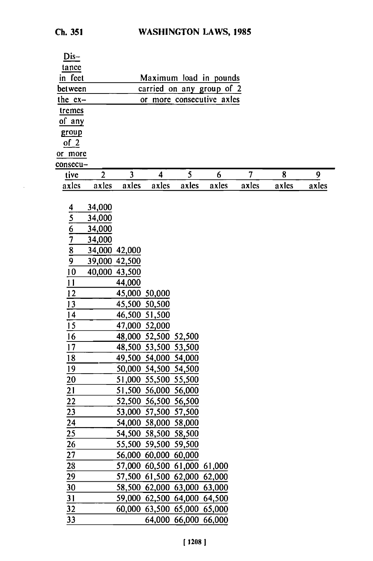| Ch. 351 |  |
|---------|--|
|---------|--|

 $\epsilon$ 

| Dis-                                                    |                |                         |                                              |                      |                           |       |       |       |
|---------------------------------------------------------|----------------|-------------------------|----------------------------------------------|----------------------|---------------------------|-------|-------|-------|
| tance                                                   |                |                         |                                              |                      |                           |       |       |       |
| in feet                                                 |                |                         |                                              |                      | Maximum load in pounds    |       |       |       |
| between                                                 |                |                         |                                              |                      | carried on any group of 2 |       |       |       |
| the $ex-$                                               |                |                         |                                              |                      | or more consecutive axles |       |       |       |
| tremes                                                  |                |                         |                                              |                      |                           |       |       |       |
| of any                                                  |                |                         |                                              |                      |                           |       |       |       |
| group                                                   |                |                         |                                              |                      |                           |       |       |       |
| $of_2$                                                  |                |                         |                                              |                      |                           |       |       |       |
| or more                                                 |                |                         |                                              |                      |                           |       |       |       |
| consecu-                                                |                |                         |                                              |                      |                           |       |       |       |
| tive                                                    | $\overline{2}$ | $\overline{\mathbf{3}}$ | $\overline{\mathbf{4}}$                      | 5                    | 6                         | 7     | 8     | 9     |
| axles                                                   | axles          | axles                   | axles                                        | axles                | axles                     | axles | axles | axles |
|                                                         |                |                         |                                              |                      |                           |       |       |       |
|                                                         | 34,000         |                         |                                              |                      |                           |       |       |       |
|                                                         | 34,000         |                         |                                              |                      |                           |       |       |       |
|                                                         | 34,000         |                         |                                              |                      |                           |       |       |       |
|                                                         | 34,000         |                         |                                              |                      |                           |       |       |       |
| $\frac{4}{5}$ $\frac{6}{7}$ $\frac{7}{8}$ $\frac{8}{9}$ | 34,000 42,000  |                         |                                              |                      |                           |       |       |       |
|                                                         | 39,000 42,500  |                         |                                              |                      |                           |       |       |       |
| 10                                                      | 40,000 43,500  |                         |                                              |                      |                           |       |       |       |
| 11                                                      |                | 44,000                  |                                              |                      |                           |       |       |       |
| 12                                                      |                | 45,000 50,000           |                                              |                      |                           |       |       |       |
| 13                                                      |                | 45,500 50,500           |                                              |                      |                           |       |       |       |
| 14                                                      |                | 46,500 51,500           |                                              |                      |                           |       |       |       |
| 15                                                      |                | 47,000 52,000           |                                              |                      |                           |       |       |       |
| 16<br>17                                                |                |                         | 48,000 52,500 52,500<br>48,500 53,500 53,500 |                      |                           |       |       |       |
|                                                         |                |                         | 49,500 54,000 54,000                         |                      |                           |       |       |       |
| 18<br>19                                                |                |                         | 50,000 54,500 54,500                         |                      |                           |       |       |       |
|                                                         |                |                         | 51,000 55,500 55,500                         |                      |                           |       |       |       |
| 20<br>$\overline{21}$                                   |                |                         | 51,500 56,000 56,000                         |                      |                           |       |       |       |
| $\overline{22}$                                         |                |                         | 52,500 56,500 56,500                         |                      |                           |       |       |       |
| 23                                                      |                |                         | 53,000 57,500 57,500                         |                      |                           |       |       |       |
| 24                                                      |                |                         | 54,000 58,000 58,000                         |                      |                           |       |       |       |
| 25                                                      |                |                         | 54,500 58,500 58,500                         |                      |                           |       |       |       |
| 26                                                      |                |                         | 55,500 59,500 59,500                         |                      |                           |       |       |       |
| 27                                                      |                |                         | 56,000 60,000 60,000                         |                      |                           |       |       |       |
| 28                                                      |                |                         | 57,000 60,500 61,000 61,000                  |                      |                           |       |       |       |
| 29                                                      |                |                         | 57,500 61,500 62,000 62,000                  |                      |                           |       |       |       |
| $\overline{30}$                                         |                |                         | 58,500 62,000 63,000 63,000                  |                      |                           |       |       |       |
| 31                                                      |                |                         | 59,000 62,500 64,000 64,500                  |                      |                           |       |       |       |
| 32                                                      |                |                         | 60,000 63,500 65,000 65,000                  |                      |                           |       |       |       |
| 33                                                      |                |                         |                                              | 64,000 66,000 66,000 |                           |       |       |       |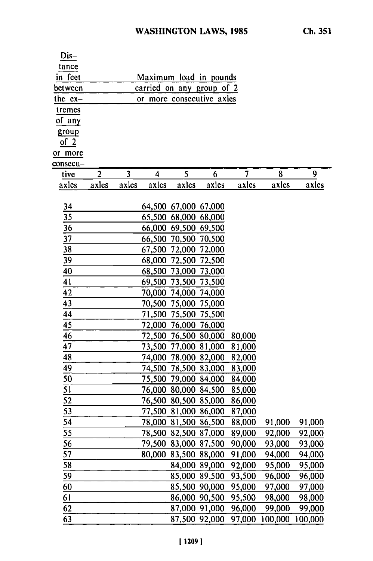| Dis-            |                |                         |                         |                      |                             |                |                |         |
|-----------------|----------------|-------------------------|-------------------------|----------------------|-----------------------------|----------------|----------------|---------|
| tance           |                |                         |                         |                      |                             |                |                |         |
| in feet         |                |                         |                         |                      | Maximum load in pounds      |                |                |         |
| between         |                |                         |                         |                      | carried on any group of 2   |                |                |         |
| the $ex-$       |                |                         |                         |                      | or more consecutive axles   |                |                |         |
| tremes          |                |                         |                         |                      |                             |                |                |         |
| of any          |                |                         |                         |                      |                             |                |                |         |
| group           |                |                         |                         |                      |                             |                |                |         |
| of 2            |                |                         |                         |                      |                             |                |                |         |
| or more         |                |                         |                         |                      |                             |                |                |         |
| consecu-        |                |                         |                         |                      |                             |                |                |         |
| tive            | $\overline{2}$ | $\overline{\mathbf{3}}$ | $\overline{\mathbf{4}}$ | 5                    | 6                           | $\overline{7}$ | 8              | 9       |
| axles           | axles          | axles                   | axles                   | axles                | axles                       | axles          | axles          | axles   |
|                 |                |                         |                         |                      |                             |                |                |         |
| $\frac{34}{5}$  |                |                         |                         | 64,500 67,000 67,000 |                             |                |                |         |
| $\frac{35}{2}$  |                |                         |                         | 65,500 68,000 68,000 |                             |                |                |         |
| $\overline{36}$ |                |                         |                         | 66,000 69,500 69,500 |                             |                |                |         |
| $\overline{37}$ |                |                         |                         | 66,500 70,500 70,500 |                             |                |                |         |
| 38              |                |                         |                         | 67,500 72,000 72,000 |                             |                |                |         |
| 39              |                |                         |                         | 68,000 72,500 72,500 |                             |                |                |         |
| 40              |                |                         |                         | 68,500 73,000 73,000 |                             |                |                |         |
| 41              |                |                         |                         | 69,500 73,500 73,500 |                             |                |                |         |
| 42              |                |                         |                         | 70,000 74,000 74,000 |                             |                |                |         |
| 43              |                |                         |                         | 70,500 75,000 75,000 |                             |                |                |         |
| $\overline{44}$ |                |                         |                         | 71,500 75,500 75,500 |                             |                |                |         |
| 45              |                |                         |                         | 72,000 76,000 76,000 |                             |                |                |         |
| 46              |                |                         |                         |                      | 72,500 76,500 80,000        | 80,000         |                |         |
| 47              |                |                         |                         |                      | 73,500 77,000 81,000        | 81,000         |                |         |
| 48              |                |                         |                         |                      | 74,000 78,000 82,000        | 82,000         |                |         |
| 49              |                |                         |                         |                      | 74,500 78,500 83,000        | 83,000         |                |         |
| 50              |                |                         |                         |                      | 75,500 79,000 84,000        | 84,000         |                |         |
| <u>51</u>       |                |                         |                         | 76,000 80,000 84,500 |                             | 85,000         |                |         |
| 52              |                |                         |                         | 76,500 80,500 85,000 |                             | 86,000         |                |         |
| 53              |                |                         |                         |                      | 77,500 81,000 86,000 87,000 |                |                |         |
| 54              |                |                         |                         |                      | 78,000 81,500 86,500        | 88,000         | 91,000         | 91,000  |
| 55              |                |                         |                         | 78,500 82,500 87,000 |                             | 89,000         | 92,000         | 92,000  |
| 56              |                |                         |                         | 79,500 83,000 87,500 |                             | 90,000         | 93,000         | 93,000  |
| 57              |                |                         |                         | 80,000 83,500 88,000 |                             | 91,000         | 94,000         | 94,000  |
| 58              |                |                         |                         | 84,000 89,000        |                             | 92,000         | 95,000         | 95,000  |
| 59              |                |                         |                         | 85,000 89,500        |                             | 93,500         | 96,000         | 96,000  |
| 60              |                |                         |                         | 85,500 90,000        |                             | 95,000         | 97,000         | 97,000  |
| 61              |                |                         |                         | 86,000 90,500        |                             | 95,500         | 98,000         | 98,000  |
| 62              |                |                         |                         | 87,000 91,000        |                             | 96,000         | 99,000         | 99,000  |
| 63              |                |                         |                         | 87,500 92,000        |                             |                | 97,000 100,000 | 100,000 |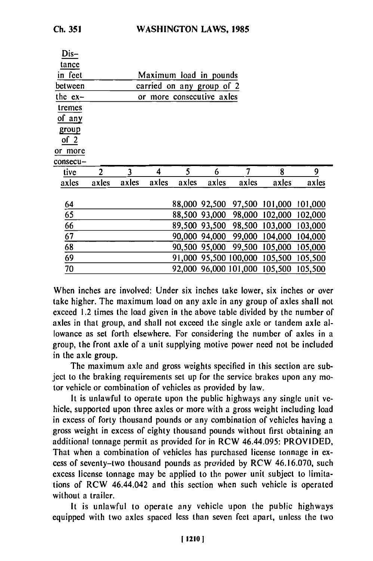**Dis-**

| Dis–      |                           |       |       |       |               |        |                                       |         |  |  |  |
|-----------|---------------------------|-------|-------|-------|---------------|--------|---------------------------------------|---------|--|--|--|
| tance     |                           |       |       |       |               |        |                                       |         |  |  |  |
| in feet   | Maximum load in pounds    |       |       |       |               |        |                                       |         |  |  |  |
| between   | carried on any group of 2 |       |       |       |               |        |                                       |         |  |  |  |
| the $ex-$ | or more consecutive axles |       |       |       |               |        |                                       |         |  |  |  |
| tremes    |                           |       |       |       |               |        |                                       |         |  |  |  |
| of any    |                           |       |       |       |               |        |                                       |         |  |  |  |
| group     |                           |       |       |       |               |        |                                       |         |  |  |  |
| of $2$    |                           |       |       |       |               |        |                                       |         |  |  |  |
| or more   |                           |       |       |       |               |        |                                       |         |  |  |  |
| consecu—  |                           |       |       |       |               |        |                                       |         |  |  |  |
| tive      | 2                         | 3     | 4     | 5     | 6             | 7      | 8                                     | 9       |  |  |  |
| axles     | axles                     | axles | axles | axles | axles         | axles  | axles                                 | axles   |  |  |  |
|           |                           |       |       |       |               |        |                                       |         |  |  |  |
| 64        |                           |       |       |       | 88,000 92,500 |        | 97,500 101,000 101,000                |         |  |  |  |
| 65        |                           |       |       |       | 88,500 93,000 |        | 98,000 102,000                        | 102,000 |  |  |  |
| 66        |                           |       |       |       | 89,500 93,500 |        | 98,500 103,000                        | 103,000 |  |  |  |
| 67        |                           |       |       |       | 90,000 94,000 | 99,000 | 104,000                               | 104,000 |  |  |  |
| 68        |                           |       |       |       | 90,500 95,000 |        | 99,500 105,000 105,000                |         |  |  |  |
| 69        |                           |       |       |       |               |        | 91,000 95,500 100,000 105,500 105,500 |         |  |  |  |
| 70        |                           |       |       |       |               |        | 92,000 96,000 101,000 105,500 105,500 |         |  |  |  |

When inches are involved: Under six inches take lower, six inches or over take higher. The maximum load on any axle in any group of axles shall not exceed 1.2 times the load given in the above table divided by the number of axles in that group, and shall not exceed the single axle or tandem axle allowance as set forth elsewhere. For considering the number of axles in a group, the front axle of a unit supplying motive power need not be included in the axle group.

The maximum axle and gross weights specified in this section are subject to the braking requirements set up for the service brakes upon any motor vehicle or combination of vehicles as provided by law.

It is unlawful to operate upon the public highways any single unit vehicle, supported upon three axles or more with a gross weight including load in excess of forty thousand pounds or any combination of vehicles having a gross weight in excess of eighty thousand pounds without first obtaining an additional tonnage permit as provided for in RCW 46.44.095: PROVIDED, That when a combination of vehicles has purchased license tonnage in excess of seventy-two thousand pounds as provided by RCW 46.16.070, such excess license tonnage may be applied to the power unit subject to limitations of RCW 46.44.042 and this section when such vehicle is operated without a trailer.

It is unlawful to operate any vehicle upon the public highways equipped with two axles spaced less than seven feet apart, unless the two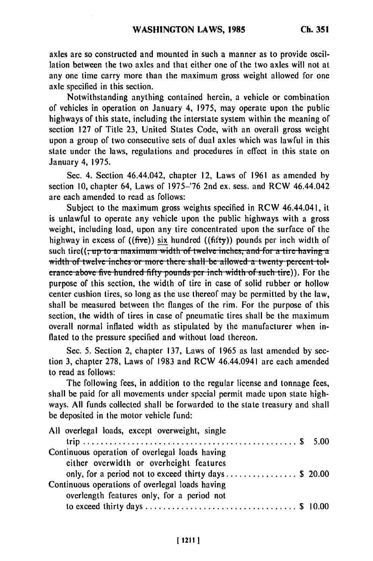axles are so constructed and mounted in such a manner as to provide oscillation between the two axles and that either one of the two axles will not at any one time carry more than the maximum gross weight allowed for one axle specified in this section.

Notwithstanding anything contained herein, a vehicle or combination of vehicles in operation on January 4, 1975, may operate upon the public highways of this state, including the interstate system within the meaning of section 127 of Title 23, United States Code, with an overall gross weight upon a group of two consecutive sets of dual axles which was lawful in this state under the laws, regulations and procedures in effect in this state on January 4, 1975.

Sec. 4. Section 46.44.042, chapter 12, Laws of 1961 as amended by section 10, chapter 64, Laws of 1975-'76 2nd ex. sess. and RCW 46.44.042 are each amended to read as follows:

Subject to the maximum gross weights specified in RCW 46.44.041, it is unlawful to operate any vehicle upon the public highways with a gross weight, including load, upon any tire concentrated upon the surface of the highway in excess of ((five)) six hundred ((fifty)) pounds per inch width of such tire( $(\frac{1}{1} \cdot \text{up to a maximum width of twelve inches, and for a tire having a$ width of twelve inches or more there shall be allowed a twenty percent tol- $\frac{1}{2}$  erance above five hundred fifty pounds per inch width of such tire). For the purpose of this section, the width of tire in case of solid rubber or hollow center cushion tires, so long as the use thereof may be permitted by the law, shall be measured between the flanges of the rim. For the purpose of this section, the width of tires in case of pneumatic tires shall be the maximum overall normal inflated width as stipulated by the manufacturer when inflated to the pressure specified and without load thereon.

Sec. 5. Section 2, chapter 137, Laws of 1965 as last amended by section 3, chapter 278, Laws of 1983 and RCW 46.44.0941 are each amended to read as follows:

The following fees, in addition to the regular license and tonnage fees, shall be paid for all movements under special permit made upon state highways. All funds collected shall be forwarded to the state treasury and shall be deposited in the motor vehicle fund:

| All overlegal loads, except overweight, single        |  |
|-------------------------------------------------------|--|
| Continuous operation of overlegal loads having        |  |
| either overwidth or overheight features               |  |
| only, for a period not to exceed thirty days \$ 20.00 |  |
| Continuous operations of overlegal loads having       |  |
| overlength features only, for a period not            |  |
|                                                       |  |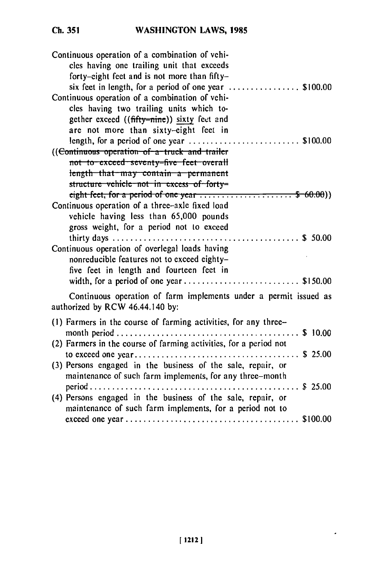Ch. 351

| Continuous operation of a combination of vehi-                                                       |
|------------------------------------------------------------------------------------------------------|
| cles having one trailing unit that exceeds                                                           |
| forty-eight feet and is not more than fifty-                                                         |
| six feet in length, for a period of one year $\ldots$ \$100.00                                       |
| Continuous operation of a combination of vehi-                                                       |
| cles having two trailing units which to-                                                             |
| gether exceed ((fifty-nine)) sixty feet and                                                          |
| are not more than sixty-eight feet in                                                                |
| length, for a period of one year $\ldots$ \$100.00                                                   |
| ((Continuous operation of a truck and trailer                                                        |
| not to exceed seventy-five feet overall                                                              |
| length that may contain a permanent                                                                  |
| structure vehicle not in excess of forty=                                                            |
| eight feet, for a period of one year $\ldots \ldots \ldots \ldots \ldots$ $\ldots \ldots$ \$ 60.00)) |
| Continuous operation of a three-axle fixed load                                                      |
| vehicle having less than 65,000 pounds                                                               |
| gross weight, for a period not to exceed                                                             |
|                                                                                                      |
| Continuous operation of overlegal loads having                                                       |
| nonreducible features not to exceed eighty-                                                          |
| five feet in length and fourteen feet in                                                             |
|                                                                                                      |
| Continuous operation of farm implements under a permit issued as                                     |
| authorized by RCW 46.44.140 by:                                                                      |
| (1) Farmers in the course of farming activities, for any three-                                      |
|                                                                                                      |
| (2) Farmers in the course of farming activities, for a period not                                    |
|                                                                                                      |
| (3) Persons engaged in the business of the sale, repair, or                                          |
| maintenance of such farm implements, for any three-month                                             |
|                                                                                                      |
| (4) Persons engaged in the business of the sale, repair, or                                          |
| maintenance of such farm implements, for a period not to                                             |
|                                                                                                      |
|                                                                                                      |

.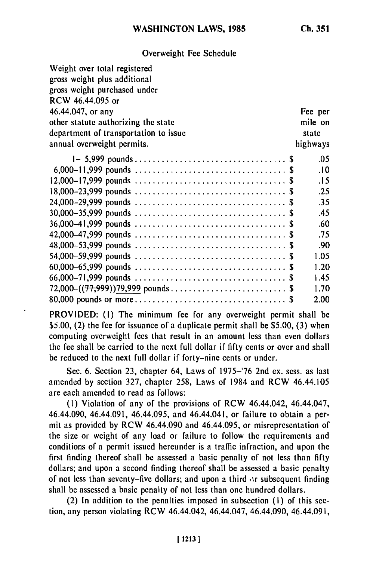Overweight Fee Schedule

| Weight over total registered          |          |
|---------------------------------------|----------|
| gross weight plus additional          |          |
| gross weight purchased under          |          |
| RCW 46.44.095 or                      |          |
|                                       |          |
| 46.44.047, or any                     | Fee per  |
| other statute authorizing the state   | mile on  |
| department of transportation to issue | state    |
| annual overweight permits.            | highways |
|                                       | .05      |
|                                       | .10      |
|                                       | .15      |
|                                       | .25      |
|                                       | .35      |
|                                       | .45      |
|                                       | .60      |
|                                       | .75      |
|                                       | .90      |
|                                       | 1.05     |
|                                       | 1.20     |
|                                       | 1.45     |
|                                       | 1.70     |
|                                       | 2.00     |

PROVIDED: (1) The minimum fee for any overweight permit shall be \$5.00, (2) the fee for issuance of a duplicate permit shall be \$5.00, (3) when computing overweight fees that result in an amount less than even dollars the fee shall be carried to the next full dollar if fifty cents or over and shall be reduced to the next full dollar if forty-nine cents or under.

Sec. 6. Section 23, chapter 64, Laws of 1975-'76 2nd ex. sess. as last amended by section 327, chapter 258, Laws of 1984 and RCW 46.44.105 are each amended to read as follows:

(1) Violation of any of the provisions of RCW 46.44.042, 46.44.047, 46.44.090, 46.44.091, 46.44.095, and 46.44.041, or failure to obtain a permit as provided by RCW 46.44.090 and 46.44.095, or misrepresentation of the size or weight of any load or failure to follow the requirements and conditions of a permit issued hereunder is a traffic infraction, and upon the first finding thereof shall be assessed a basic penalty of not less than fifty dollars; and upon a second finding thereof shall be assessed a basic penalty of not less than seventy-five dollars; and upon a third *or* subsequent finding shall be assessed a basic penalty of not less than one hundred dollars.

(2) In addition to the penalties imposed in subsection (I) of this section, any person violating RCW 46.44.042, 46.44.047, 46.44.090, 46.44.091,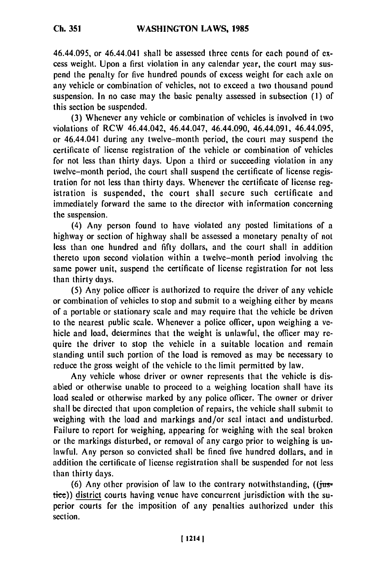46.44.095, or 46.44.041 shall be assessed three cents for each pound of excess weight. Upon a first violation in any calendar year, the court may suspend the penalty for five hundred pounds of excess weight for each axle on any vehicle or combination of vehicles, not to exceed a two thousand pound suspension. In no case may the basic penalty assessed in subsection (I) of this section be suspended.

(3) Whenever any vehicle or combination of vehicles is involved in two violations of RCW 46.44.042, 46.44.047, 46.44.090, 46.44.091, 46.44.095, or 46.44.041 during any twelve-month period, the court may suspend the certificate of license registration of the vehicle or combination of vehicles for not less than thirty days. Upon a third or succeeding violation in any twelve-month period, the court shall suspend the certificate of license registration for not less than thirty days. Whenever the certificate of license registration is suspended, the court shall secure such certificate and immediately forward the same to the director with information concerning the suspension.

(4) Any person found to have violated any posted limitations of a highway or section of highway shall be assessed a monetary penalty of not less than one hundred and fifty dollars, and the court shall in addition thereto upon second violation within a twelve-month period involving the same power unit, suspend the certificate of license registration for not less than thirty days.

(5) Any police officer is authorized to require the driver of any vehicle or combination of vehicles to stop and submit to a weighing either by means of a portable or stationary scale and may require that the vehicle be driven to the nearest public scale. Whenever a police officer, upon weighing a vehicle and load, determines that the weight is unlawful, the officer may require the driver to stop the vehicle in a suitable location and remain standing until such portion of the load is removed as may be necessary to reduce the gross weight of the vehicle to the limit permitted by law.

Any vehicle whose driver or owner represents that the vehicle is disabled or otherwise unable to proceed to a weighing location shall have its load sealed or otherwise marked by any police officer. The owner or driver shall be directed that upon completion of repairs, the vehicle shall submit to weighing with the load and markings and/or seal intact and undisturbed. Failure to report for weighing, appearing for weighing with the seal broken or the markings disturbed, or removal of any cargo prior to weighing is unlawful. Any person so convicted shall be fined five hundred dollars, and in addition the certificate of license registration shall be suspended for not less than thirty days.

(6) Any other provision of law to the contrary notwithstanding,  $((i$ tustice)) district courts having venue have concurrent jurisdiction with the superior courts for the imposition of any penalties authorized under this section.